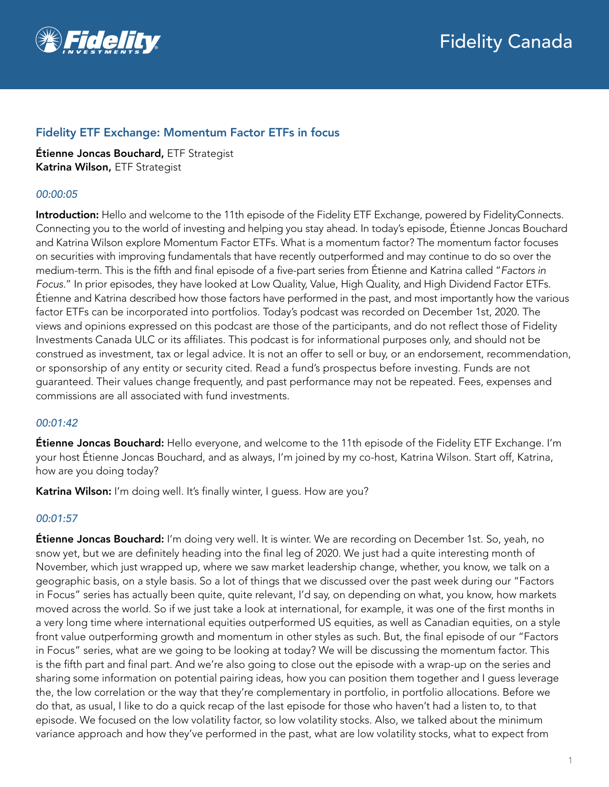

# Fidelity ETF Exchange: Momentum Factor ETFs in focus

Étienne Joncas Bouchard, ETF Strategist Katrina Wilson, ETF Strategist

# *00:00:05*

Introduction: Hello and welcome to the 11th episode of the Fidelity ETF Exchange, powered by FidelityConnects. Connecting you to the world of investing and helping you stay ahead. In today's episode, Étienne Joncas Bouchard and Katrina Wilson explore Momentum Factor ETFs. What is a momentum factor? The momentum factor focuses on securities with improving fundamentals that have recently outperformed and may continue to do so over the medium-term. This is the fifth and final episode of a five-part series from Étienne and Katrina called "*Factors in Focus.*" In prior episodes, they have looked at Low Quality, Value, High Quality, and High Dividend Factor ETFs. Étienne and Katrina described how those factors have performed in the past, and most importantly how the various factor ETFs can be incorporated into portfolios. Today's podcast was recorded on December 1st, 2020. The views and opinions expressed on this podcast are those of the participants, and do not reflect those of Fidelity Investments Canada ULC or its affiliates. This podcast is for informational purposes only, and should not be construed as investment, tax or legal advice. It is not an offer to sell or buy, or an endorsement, recommendation, or sponsorship of any entity or security cited. Read a fund's prospectus before investing. Funds are not guaranteed. Their values change frequently, and past performance may not be repeated. Fees, expenses and commissions are all associated with fund investments.

### *00:01:42*

**Étienne Joncas Bouchard:** Hello everyone, and welcome to the 11th episode of the Fidelity ETF Exchange. I'm your host Étienne Joncas Bouchard, and as always, I'm joined by my co-host, Katrina Wilson. Start off, Katrina, how are you doing today?

Katrina Wilson: I'm doing well. It's finally winter, I guess. How are you?

# *00:01:57*

**Étienne Joncas Bouchard:** I'm doing very well. It is winter. We are recording on December 1st. So, yeah, no snow yet, but we are definitely heading into the final leg of 2020. We just had a quite interesting month of November, which just wrapped up, where we saw market leadership change, whether, you know, we talk on a geographic basis, on a style basis. So a lot of things that we discussed over the past week during our "Factors in Focus" series has actually been quite, quite relevant, I'd say, on depending on what, you know, how markets moved across the world. So if we just take a look at international, for example, it was one of the first months in a very long time where international equities outperformed US equities, as well as Canadian equities, on a style front value outperforming growth and momentum in other styles as such. But, the final episode of our "Factors in Focus" series, what are we going to be looking at today? We will be discussing the momentum factor. This is the fifth part and final part. And we're also going to close out the episode with a wrap-up on the series and sharing some information on potential pairing ideas, how you can position them together and I guess leverage the, the low correlation or the way that they're complementary in portfolio, in portfolio allocations. Before we do that, as usual, I like to do a quick recap of the last episode for those who haven't had a listen to, to that episode. We focused on the low volatility factor, so low volatility stocks. Also, we talked about the minimum variance approach and how they've performed in the past, what are low volatility stocks, what to expect from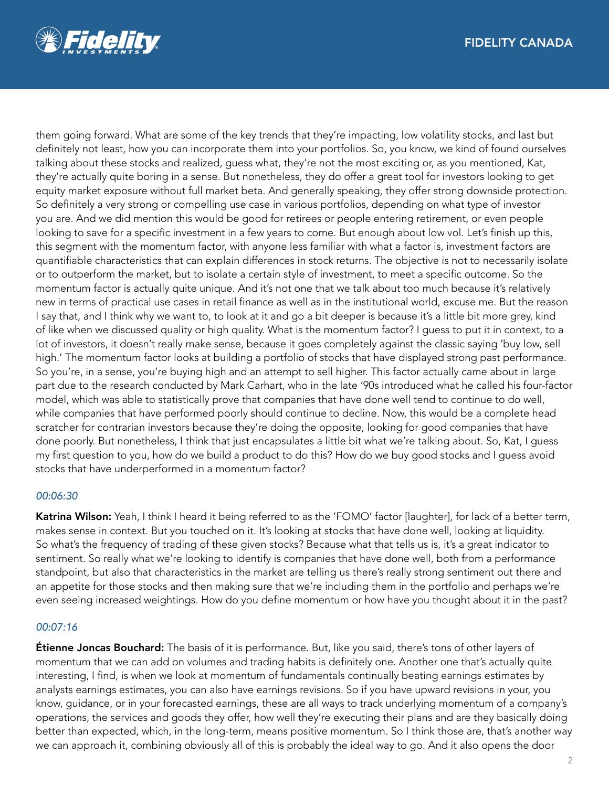

them going forward. What are some of the key trends that they're impacting, low volatility stocks, and last but definitely not least, how you can incorporate them into your portfolios. So, you know, we kind of found ourselves talking about these stocks and realized, guess what, they're not the most exciting or, as you mentioned, Kat, they're actually quite boring in a sense. But nonetheless, they do offer a great tool for investors looking to get equity market exposure without full market beta. And generally speaking, they offer strong downside protection. So definitely a very strong or compelling use case in various portfolios, depending on what type of investor you are. And we did mention this would be good for retirees or people entering retirement, or even people looking to save for a specific investment in a few years to come. But enough about low vol. Let's finish up this, this segment with the momentum factor, with anyone less familiar with what a factor is, investment factors are quantifiable characteristics that can explain differences in stock returns. The objective is not to necessarily isolate or to outperform the market, but to isolate a certain style of investment, to meet a specific outcome. So the momentum factor is actually quite unique. And it's not one that we talk about too much because it's relatively new in terms of practical use cases in retail finance as well as in the institutional world, excuse me. But the reason I say that, and I think why we want to, to look at it and go a bit deeper is because it's a little bit more grey, kind of like when we discussed quality or high quality. What is the momentum factor? I guess to put it in context, to a lot of investors, it doesn't really make sense, because it goes completely against the classic saying 'buy low, sell high.' The momentum factor looks at building a portfolio of stocks that have displayed strong past performance. So you're, in a sense, you're buying high and an attempt to sell higher. This factor actually came about in large part due to the research conducted by Mark Carhart, who in the late '90s introduced what he called his four-factor model, which was able to statistically prove that companies that have done well tend to continue to do well, while companies that have performed poorly should continue to decline. Now, this would be a complete head scratcher for contrarian investors because they're doing the opposite, looking for good companies that have done poorly. But nonetheless, I think that just encapsulates a little bit what we're talking about. So, Kat, I guess my first question to you, how do we build a product to do this? How do we buy good stocks and I guess avoid stocks that have underperformed in a momentum factor?

### *00:06:30*

Katrina Wilson: Yeah, I think I heard it being referred to as the 'FOMO' factor [laughter], for lack of a better term, makes sense in context. But you touched on it. It's looking at stocks that have done well, looking at liquidity. So what's the frequency of trading of these given stocks? Because what that tells us is, it's a great indicator to sentiment. So really what we're looking to identify is companies that have done well, both from a performance standpoint, but also that characteristics in the market are telling us there's really strong sentiment out there and an appetite for those stocks and then making sure that we're including them in the portfolio and perhaps we're even seeing increased weightings. How do you define momentum or how have you thought about it in the past?

#### *00:07:16*

**Étienne Joncas Bouchard:** The basis of it is performance. But, like you said, there's tons of other layers of momentum that we can add on volumes and trading habits is definitely one. Another one that's actually quite interesting, I find, is when we look at momentum of fundamentals continually beating earnings estimates by analysts earnings estimates, you can also have earnings revisions. So if you have upward revisions in your, you know, guidance, or in your forecasted earnings, these are all ways to track underlying momentum of a company's operations, the services and goods they offer, how well they're executing their plans and are they basically doing better than expected, which, in the long-term, means positive momentum. So I think those are, that's another way we can approach it, combining obviously all of this is probably the ideal way to go. And it also opens the door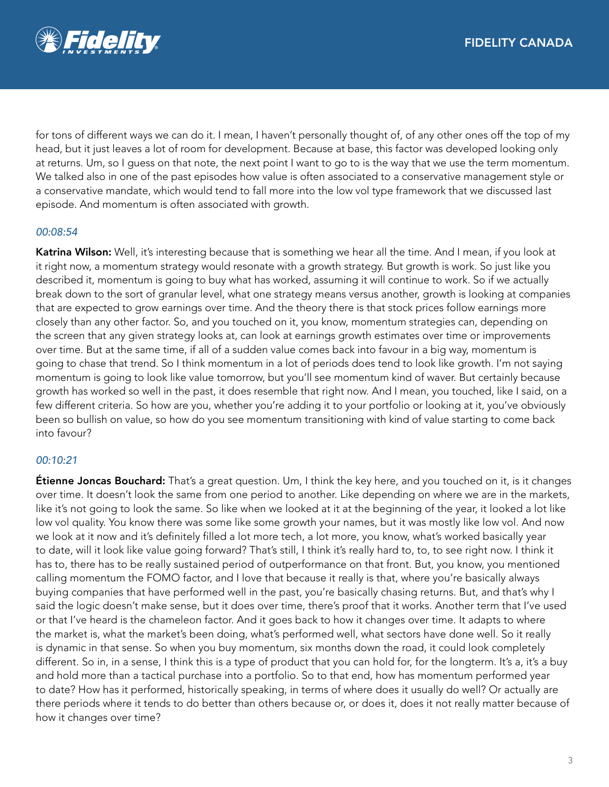

for tons of different ways we can do it. I mean, I haven't personally thought of, of any other ones off the top of my head, but it just leaves a lot of room for development. Because at base, this factor was developed looking only at returns. Um, so I guess on that note, the next point I want to go to is the way that we use the term momentum. We talked also in one of the past episodes how value is often associated to a conservative management style or a conservative mandate, which would tend to fall more into the low vol type framework that we discussed last episode. And momentum is often associated with growth.

# *00:08:54*

Katrina Wilson: Well, it's interesting because that is something we hear all the time. And I mean, if you look at it right now, a momentum strategy would resonate with a growth strategy. But growth is work. So just like you described it, momentum is going to buy what has worked, assuming it will continue to work. So if we actually break down to the sort of granular level, what one strategy means versus another, growth is looking at companies that are expected to grow earnings over time. And the theory there is that stock prices follow earnings more closely than any other factor. So, and you touched on it, you know, momentum strategies can, depending on the screen that any given strategy looks at, can look at earnings growth estimates over time or improvements over time. But at the same time, if all of a sudden value comes back into favour in a big way, momentum is going to chase that trend. So I think momentum in a lot of periods does tend to look like growth. I'm not saying momentum is going to look like value tomorrow, but you'll see momentum kind of waver. But certainly because growth has worked so well in the past, it does resemble that right now. And I mean, you touched, like I said, on a few different criteria. So how are you, whether you're adding it to your portfolio or looking at it, you've obviously been so bullish on value, so how do you see momentum transitioning with kind of value starting to come back into favour?

# *00:10:21*

**Étienne Joncas Bouchard:** That's a great question. Um, I think the key here, and you touched on it, is it changes over time. It doesn't look the same from one period to another. Like depending on where we are in the markets, like it's not going to look the same. So like when we looked at it at the beginning of the year, it looked a lot like low vol quality. You know there was some like some growth your names, but it was mostly like low vol. And now we look at it now and it's definitely filled a lot more tech, a lot more, you know, what's worked basically year to date, will it look like value going forward? That's still, I think it's really hard to, to, to see right now. I think it has to, there has to be really sustained period of outperformance on that front. But, you know, you mentioned calling momentum the FOMO factor, and I love that because it really is that, where you're basically always buying companies that have performed well in the past, you're basically chasing returns. But, and that's why I said the logic doesn't make sense, but it does over time, there's proof that it works. Another term that I've used or that I've heard is the chameleon factor. And it goes back to how it changes over time. It adapts to where the market is, what the market's been doing, what's performed well, what sectors have done well. So it really is dynamic in that sense. So when you buy momentum, six months down the road, it could look completely different. So in, in a sense, I think this is a type of product that you can hold for, for the longterm. It's a, it's a buy and hold more than a tactical purchase into a portfolio. So to that end, how has momentum performed year to date? How has it performed, historically speaking, in terms of where does it usually do well? Or actually are there periods where it tends to do better than others because or, or does it, does it not really matter because of how it changes over time?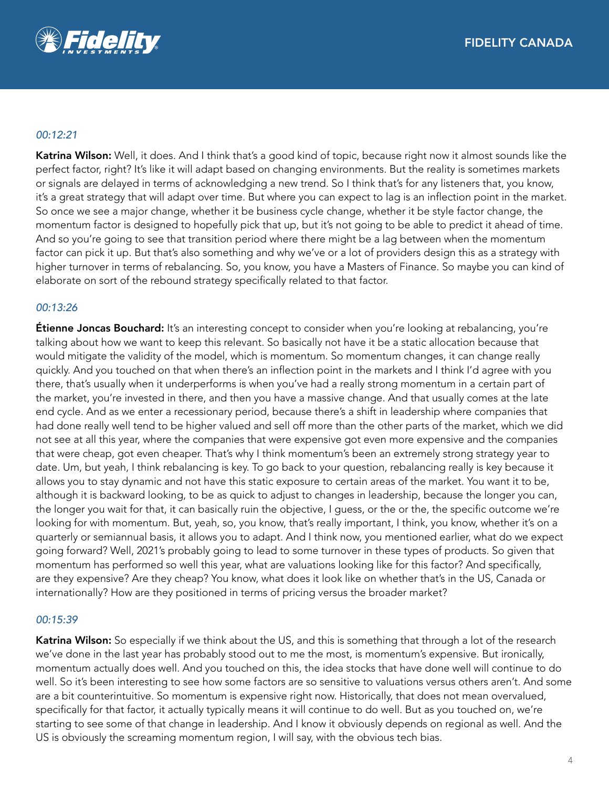

### *00:12:21*

Katrina Wilson: Well, it does. And I think that's a good kind of topic, because right now it almost sounds like the perfect factor, right? It's like it will adapt based on changing environments. But the reality is sometimes markets or signals are delayed in terms of acknowledging a new trend. So I think that's for any listeners that, you know, it's a great strategy that will adapt over time. But where you can expect to lag is an inflection point in the market. So once we see a major change, whether it be business cycle change, whether it be style factor change, the momentum factor is designed to hopefully pick that up, but it's not going to be able to predict it ahead of time. And so you're going to see that transition period where there might be a lag between when the momentum factor can pick it up. But that's also something and why we've or a lot of providers design this as a strategy with higher turnover in terms of rebalancing. So, you know, you have a Masters of Finance. So maybe you can kind of elaborate on sort of the rebound strategy specifically related to that factor.

### *00:13:26*

**Étienne Joncas Bouchard:** It's an interesting concept to consider when you're looking at rebalancing, you're talking about how we want to keep this relevant. So basically not have it be a static allocation because that would mitigate the validity of the model, which is momentum. So momentum changes, it can change really quickly. And you touched on that when there's an inflection point in the markets and I think I'd agree with you there, that's usually when it underperforms is when you've had a really strong momentum in a certain part of the market, you're invested in there, and then you have a massive change. And that usually comes at the late end cycle. And as we enter a recessionary period, because there's a shift in leadership where companies that had done really well tend to be higher valued and sell off more than the other parts of the market, which we did not see at all this year, where the companies that were expensive got even more expensive and the companies that were cheap, got even cheaper. That's why I think momentum's been an extremely strong strategy year to date. Um, but yeah, I think rebalancing is key. To go back to your question, rebalancing really is key because it allows you to stay dynamic and not have this static exposure to certain areas of the market. You want it to be, although it is backward looking, to be as quick to adjust to changes in leadership, because the longer you can, the longer you wait for that, it can basically ruin the objective, I guess, or the or the, the specific outcome we're looking for with momentum. But, yeah, so, you know, that's really important, I think, you know, whether it's on a quarterly or semiannual basis, it allows you to adapt. And I think now, you mentioned earlier, what do we expect going forward? Well, 2021's probably going to lead to some turnover in these types of products. So given that momentum has performed so well this year, what are valuations looking like for this factor? And specifically, are they expensive? Are they cheap? You know, what does it look like on whether that's in the US, Canada or internationally? How are they positioned in terms of pricing versus the broader market?

### *00:15:39*

Katrina Wilson: So especially if we think about the US, and this is something that through a lot of the research we've done in the last year has probably stood out to me the most, is momentum's expensive. But ironically, momentum actually does well. And you touched on this, the idea stocks that have done well will continue to do well. So it's been interesting to see how some factors are so sensitive to valuations versus others aren't. And some are a bit counterintuitive. So momentum is expensive right now. Historically, that does not mean overvalued, specifically for that factor, it actually typically means it will continue to do well. But as you touched on, we're starting to see some of that change in leadership. And I know it obviously depends on regional as well. And the US is obviously the screaming momentum region, I will say, with the obvious tech bias.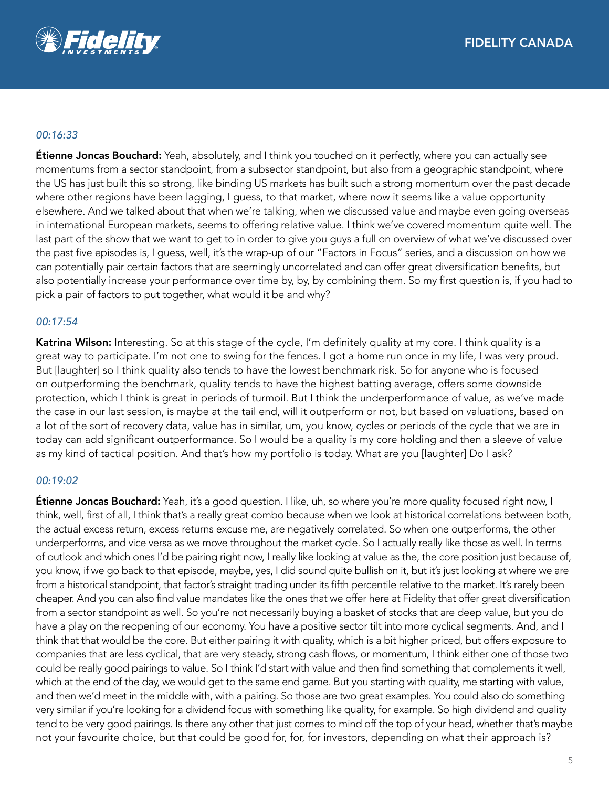

### *00:16:33*

**Étienne Joncas Bouchard:** Yeah, absolutely, and I think you touched on it perfectly, where you can actually see momentums from a sector standpoint, from a subsector standpoint, but also from a geographic standpoint, where the US has just built this so strong, like binding US markets has built such a strong momentum over the past decade where other regions have been lagging, I guess, to that market, where now it seems like a value opportunity elsewhere. And we talked about that when we're talking, when we discussed value and maybe even going overseas in international European markets, seems to offering relative value. I think we've covered momentum quite well. The last part of the show that we want to get to in order to give you guys a full on overview of what we've discussed over the past five episodes is, I guess, well, it's the wrap-up of our "Factors in Focus" series, and a discussion on how we can potentially pair certain factors that are seemingly uncorrelated and can offer great diversification benefits, but also potentially increase your performance over time by, by, by combining them. So my first question is, if you had to pick a pair of factors to put together, what would it be and why?

## *00:17:54*

Katrina Wilson: Interesting. So at this stage of the cycle, I'm definitely quality at my core. I think quality is a great way to participate. I'm not one to swing for the fences. I got a home run once in my life, I was very proud. But [laughter] so I think quality also tends to have the lowest benchmark risk. So for anyone who is focused on outperforming the benchmark, quality tends to have the highest batting average, offers some downside protection, which I think is great in periods of turmoil. But I think the underperformance of value, as we've made the case in our last session, is maybe at the tail end, will it outperform or not, but based on valuations, based on a lot of the sort of recovery data, value has in similar, um, you know, cycles or periods of the cycle that we are in today can add significant outperformance. So I would be a quality is my core holding and then a sleeve of value as my kind of tactical position. And that's how my portfolio is today. What are you [laughter] Do I ask?

### *00:19:02*

**Étienne Joncas Bouchard:** Yeah, it's a good question. I like, uh, so where you're more quality focused right now, I think, well, first of all, I think that's a really great combo because when we look at historical correlations between both, the actual excess return, excess returns excuse me, are negatively correlated. So when one outperforms, the other underperforms, and vice versa as we move throughout the market cycle. So I actually really like those as well. In terms of outlook and which ones I'd be pairing right now, I really like looking at value as the, the core position just because of, you know, if we go back to that episode, maybe, yes, I did sound quite bullish on it, but it's just looking at where we are from a historical standpoint, that factor's straight trading under its fifth percentile relative to the market. It's rarely been cheaper. And you can also find value mandates like the ones that we offer here at Fidelity that offer great diversification from a sector standpoint as well. So you're not necessarily buying a basket of stocks that are deep value, but you do have a play on the reopening of our economy. You have a positive sector tilt into more cyclical segments. And, and I think that that would be the core. But either pairing it with quality, which is a bit higher priced, but offers exposure to companies that are less cyclical, that are very steady, strong cash flows, or momentum, I think either one of those two could be really good pairings to value. So I think I'd start with value and then find something that complements it well, which at the end of the day, we would get to the same end game. But you starting with quality, me starting with value, and then we'd meet in the middle with, with a pairing. So those are two great examples. You could also do something very similar if you're looking for a dividend focus with something like quality, for example. So high dividend and quality tend to be very good pairings. Is there any other that just comes to mind off the top of your head, whether that's maybe not your favourite choice, but that could be good for, for, for investors, depending on what their approach is?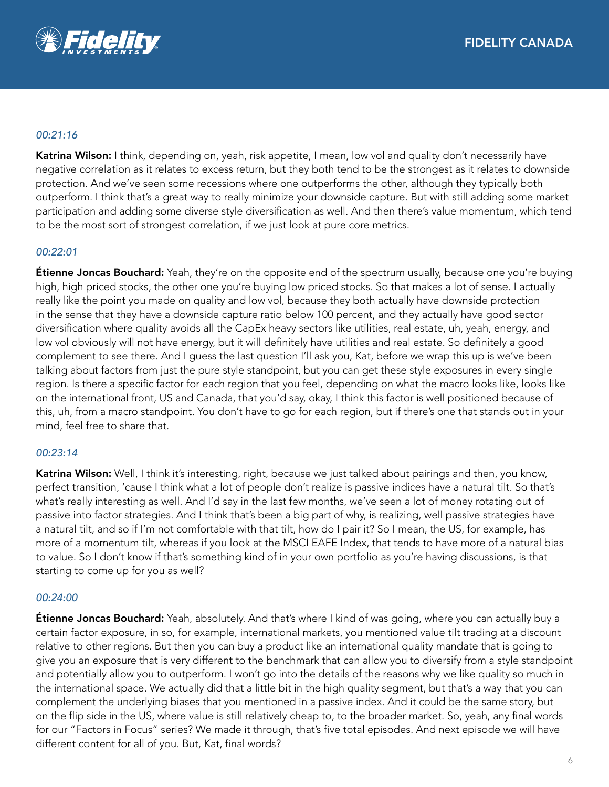

## *00:21:16*

Katrina Wilson: I think, depending on, yeah, risk appetite, I mean, low vol and quality don't necessarily have negative correlation as it relates to excess return, but they both tend to be the strongest as it relates to downside protection. And we've seen some recessions where one outperforms the other, although they typically both outperform. I think that's a great way to really minimize your downside capture. But with still adding some market participation and adding some diverse style diversification as well. And then there's value momentum, which tend to be the most sort of strongest correlation, if we just look at pure core metrics.

## *00:22:01*

**Étienne Joncas Bouchard:** Yeah, they're on the opposite end of the spectrum usually, because one you're buying high, high priced stocks, the other one you're buying low priced stocks. So that makes a lot of sense. I actually really like the point you made on quality and low vol, because they both actually have downside protection in the sense that they have a downside capture ratio below 100 percent, and they actually have good sector diversification where quality avoids all the CapEx heavy sectors like utilities, real estate, uh, yeah, energy, and low vol obviously will not have energy, but it will definitely have utilities and real estate. So definitely a good complement to see there. And I guess the last question I'll ask you, Kat, before we wrap this up is we've been talking about factors from just the pure style standpoint, but you can get these style exposures in every single region. Is there a specific factor for each region that you feel, depending on what the macro looks like, looks like on the international front, US and Canada, that you'd say, okay, I think this factor is well positioned because of this, uh, from a macro standpoint. You don't have to go for each region, but if there's one that stands out in your mind, feel free to share that.

### *00:23:14*

Katrina Wilson: Well, I think it's interesting, right, because we just talked about pairings and then, you know, perfect transition, 'cause I think what a lot of people don't realize is passive indices have a natural tilt. So that's what's really interesting as well. And I'd say in the last few months, we've seen a lot of money rotating out of passive into factor strategies. And I think that's been a big part of why, is realizing, well passive strategies have a natural tilt, and so if I'm not comfortable with that tilt, how do I pair it? So I mean, the US, for example, has more of a momentum tilt, whereas if you look at the MSCI EAFE Index, that tends to have more of a natural bias to value. So I don't know if that's something kind of in your own portfolio as you're having discussions, is that starting to come up for you as well?

### *00:24:00*

**Étienne Joncas Bouchard:** Yeah, absolutely. And that's where I kind of was going, where you can actually buy a certain factor exposure, in so, for example, international markets, you mentioned value tilt trading at a discount relative to other regions. But then you can buy a product like an international quality mandate that is going to give you an exposure that is very different to the benchmark that can allow you to diversify from a style standpoint and potentially allow you to outperform. I won't go into the details of the reasons why we like quality so much in the international space. We actually did that a little bit in the high quality segment, but that's a way that you can complement the underlying biases that you mentioned in a passive index. And it could be the same story, but on the flip side in the US, where value is still relatively cheap to, to the broader market. So, yeah, any final words for our "Factors in Focus" series? We made it through, that's five total episodes. And next episode we will have different content for all of you. But, Kat, final words?